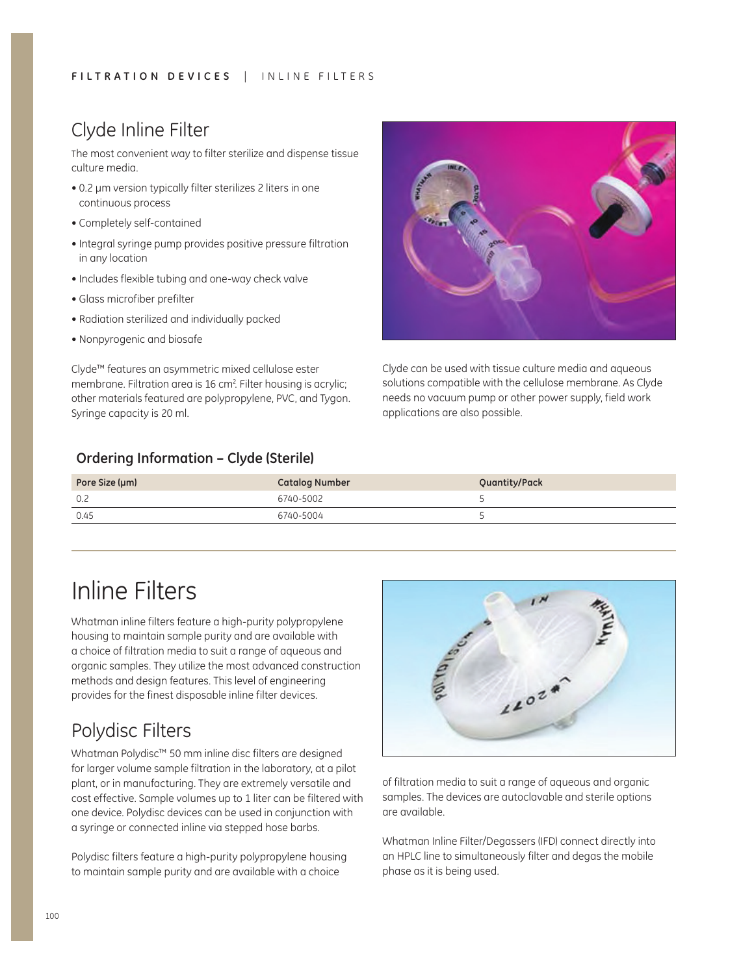## Clyde Inline Filter

The most convenient way to filter sterilize and dispense tissue culture media.

- 0.2 µm version typically filter sterilizes 2 liters in one continuous process
- Completely self-contained
- Integral syringe pump provides positive pressure filtration in any location
- Includes flexible tubing and one-way check valve
- Glass microfiber prefilter
- Radiation sterilized and individually packed
- Nonpyrogenic and biosafe

Clyde™ features an asymmetric mixed cellulose ester membrane. Filtration area is 16 cm<sup>2</sup>. Filter housing is acrylic; other materials featured are polypropylene, PVC, and Tygon. Syringe capacity is 20 ml.

## **Ordering Information – Clyde (Sterile)**



Clyde can be used with tissue culture media and aqueous solutions compatible with the cellulose membrane. As Clyde needs no vacuum pump or other power supply, field work applications are also possible.

| Pore Size (µm) | <b>Catalog Number</b> | Quantity/Pack |
|----------------|-----------------------|---------------|
| 0.2            | 6740-5002             |               |
| 0.45           | 6740-5004             |               |

# Inline Filters

Whatman inline filters feature a high-purity polypropylene housing to maintain sample purity and are available with a choice of filtration media to suit a range of aqueous and organic samples. They utilize the most advanced construction methods and design features. This level of engineering provides for the finest disposable inline filter devices.

## Polydisc Filters

Whatman Polydisc™ 50 mm inline disc filters are designed for larger volume sample filtration in the laboratory, at a pilot plant, or in manufacturing. They are extremely versatile and cost effective. Sample volumes up to 1 liter can be filtered with one device. Polydisc devices can be used in conjunction with a syringe or connected inline via stepped hose barbs.

Polydisc filters feature a high-purity polypropylene housing to maintain sample purity and are available with a choice



of filtration media to suit a range of aqueous and organic samples. The devices are autoclavable and sterile options are available.

Whatman Inline Filter/Degassers (IFD) connect directly into an HPLC line to simultaneously filter and degas the mobile phase as it is being used.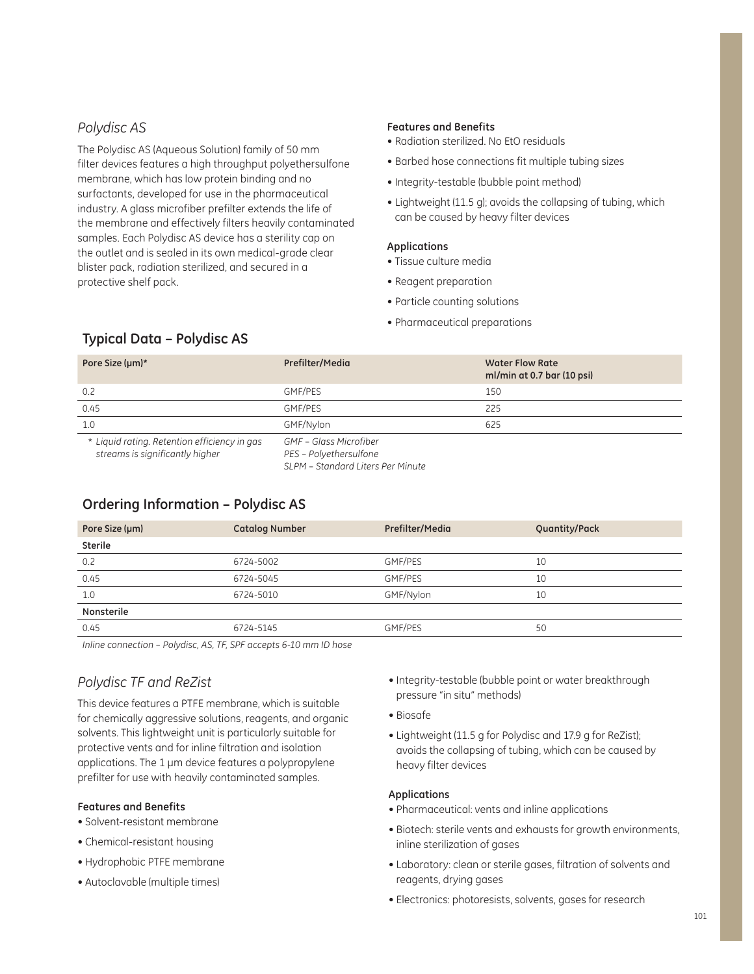## *Polydisc AS*

The Polydisc AS (Aqueous Solution) family of 50 mm filter devices features a high throughput polyethersulfone membrane, which has low protein binding and no surfactants, developed for use in the pharmaceutical industry. A glass microfiber prefilter extends the life of the membrane and effectively filters heavily contaminated samples. Each Polydisc AS device has a sterility cap on the outlet and is sealed in its own medical-grade clear blister pack, radiation sterilized, and secured in a protective shelf pack.

#### **Features and Benefits**

- Radiation sterilized. No EtO residuals
- Barbed hose connections fit multiple tubing sizes
- Integrity-testable (bubble point method)
- Lightweight (11.5 g); avoids the collapsing of tubing, which can be caused by heavy filter devices

#### **Applications**

- Tissue culture media
- Reagent preparation
- Particle counting solutions
- Pharmaceutical preparations

#### **Typical Data – Polydisc AS**

| Pore Size (µm)*                                                                 | Prefilter/Media                                                                       | <b>Water Flow Rate</b><br>ml/min at 0.7 bar (10 psi) |
|---------------------------------------------------------------------------------|---------------------------------------------------------------------------------------|------------------------------------------------------|
| 0.2                                                                             | GMF/PES                                                                               | 150                                                  |
| 0.45                                                                            | GMF/PES                                                                               | 225                                                  |
| 1.0                                                                             | GMF/Nylon                                                                             | 625                                                  |
| * Liquid rating. Retention efficiency in gas<br>streams is significantly higher | GMF - Glass Microfiber<br>PES - Polyethersulfone<br>SLPM - Standard Liters Per Minute |                                                      |

#### **Ordering Information – Polydisc AS**

| Pore Size (µm) | <b>Catalog Number</b> | Prefilter/Media | Quantity/Pack |
|----------------|-----------------------|-----------------|---------------|
| <b>Sterile</b> |                       |                 |               |
| 0.2            | 6724-5002             | GMF/PES         | 10            |
| 0.45           | 6724-5045             | GMF/PES         | 10            |
| 1.0            | 6724-5010             | GMF/Nylon       | 10            |
| Nonsterile     |                       |                 |               |
| 0.45           | 6724-5145             | <b>GMF/PES</b>  | 50            |
|                |                       |                 |               |

*Inline connection – Polydisc, AS, TF, SPF accepts 6-10 mm ID hose*

## *Polydisc TF and ReZist*

This device features a PTFE membrane, which is suitable for chemically aggressive solutions, reagents, and organic solvents. This lightweight unit is particularly suitable for protective vents and for inline filtration and isolation applications. The 1  $\mu$ m device features a polypropylene prefilter for use with heavily contaminated samples.

#### **Features and Benefits**

- $\bullet$  Solvent-resistant membrane
- Chemical-resistant housing
- Hydrophobic PTFE membrane
- Autoclavable (multiple times)
- Integrity-testable (bubble point or water breakthrough pressure "in situ" methods)
- Biosafe
- Lightweight (11.5 g for Polydisc and 17.9 g for ReZist); avoids the collapsing of tubing, which can be caused by heavy filter devices

#### **Applications**

- Pharmaceutical: vents and inline applications
- Biotech: sterile vents and exhausts for growth environments, inline sterilization of gases
- Laboratory: clean or sterile gases, filtration of solvents and reagents, drying gases
- Electronics: photoresists, solvents, gases for research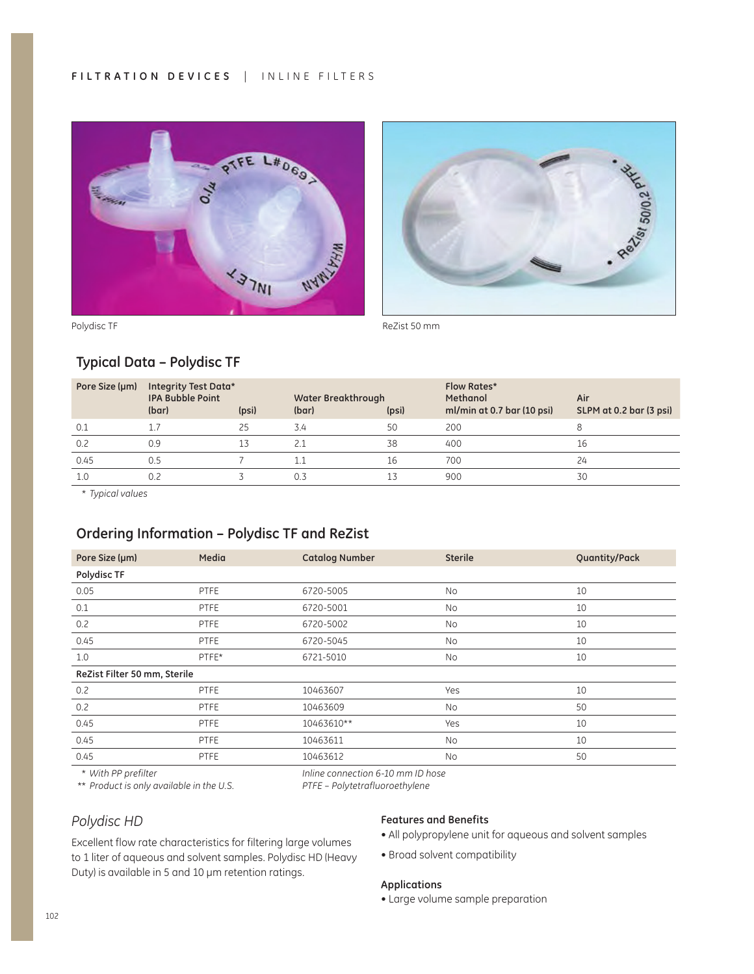



## **Typical Data – Polydisc TF**

| Pore Size (µm) | Integrity Test Data*<br><b>IPA Bubble Point</b><br>(bar) | (psi) | Water Breakthrough<br>(bar) | (psi) | <b>Flow Rates*</b><br>Methanol<br>ml/min at 0.7 bar (10 psi) | Air<br>SLPM at 0.2 bar (3 psi) |
|----------------|----------------------------------------------------------|-------|-----------------------------|-------|--------------------------------------------------------------|--------------------------------|
| 0.1            |                                                          | 25    | 3.4                         | 50    | 200                                                          |                                |
| 0.2            | 0.9                                                      | 13    | 2.1                         | 38    | 400                                                          | 16                             |
| 0.45           | 0.5                                                      |       | 1.1                         | 16    | 700                                                          | 24                             |
| 1.0            | 0.2                                                      |       | 0.3                         |       | 900                                                          | 30                             |

 *Typical values*

## **Ordering Information – Polydisc TF and ReZist**

| Pore Size (µm)               | Media       | <b>Catalog Number</b> | <b>Sterile</b> | Quantity/Pack |
|------------------------------|-------------|-----------------------|----------------|---------------|
| Polydisc TF                  |             |                       |                |               |
| 0.05                         | <b>PTFE</b> | 6720-5005             | <b>No</b>      | 10            |
| 0.1                          | <b>PTFE</b> | 6720-5001             | <b>No</b>      | 10            |
| 0.2                          | <b>PTFE</b> | 6720-5002             | No             | 10            |
| 0.45                         | <b>PTFE</b> | 6720-5045             | <b>No</b>      | 10            |
| 1.0                          | PTFE*       | 6721-5010             | <b>No</b>      | 10            |
| ReZist Filter 50 mm, Sterile |             |                       |                |               |
| 0.2                          | <b>PTFE</b> | 10463607              | Yes            | 10            |
| 0.2                          | <b>PTFE</b> | 10463609              | No             | 50            |
| 0.45                         | <b>PTFE</b> | 10463610**            | Yes            | 10            |
| 0.45                         | <b>PTFE</b> | 10463611              | No             | 10            |
| 0.45                         | <b>PTFE</b> | 10463612              | <b>No</b>      | 50            |

 *With PP prefilter* 

*Inline connection 6-10 mm ID hose* 

 *\* Product is only available in the U.S.* 

Excellent flow rate characteristics for filtering large volumes to 1 liter of aqueous and solvent samples. Polydisc HD (Heavy

Duty) is available in 5 and 10 µm retention ratings.

*PTFE – Polytetrafluoroethylene*

#### *Polydisc HD*

#### **Features and Benefits**

- All polypropylene unit for aqueous and solvent samples
- Broad solvent compatibility

#### **Applications**

• Large volume sample preparation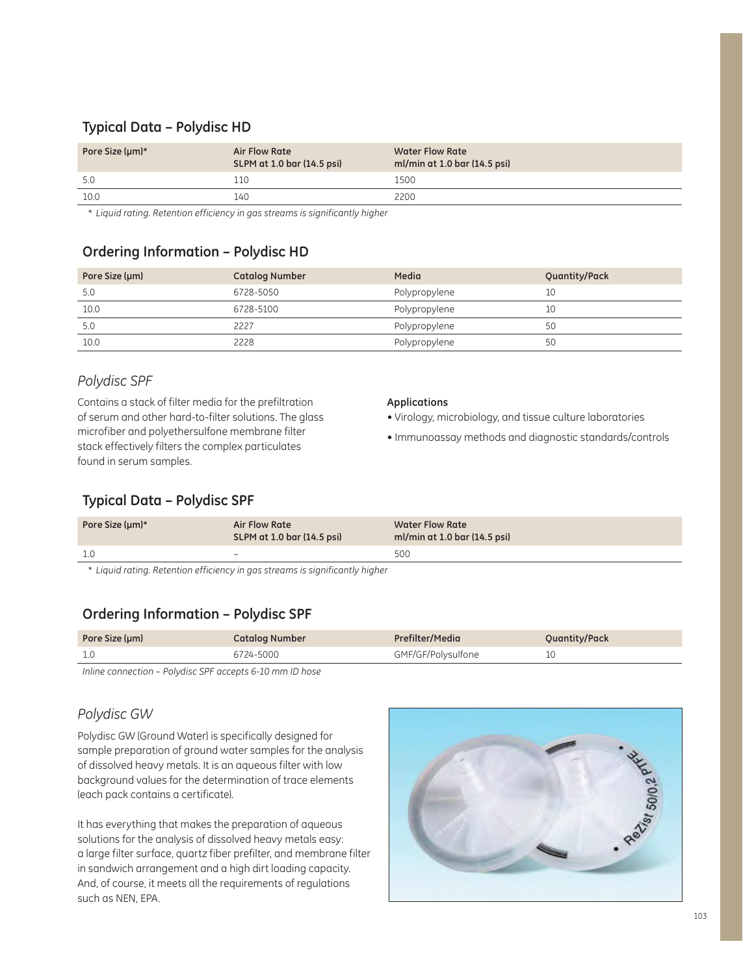## **Typical Data – Polydisc HD**

| Pore Size (um)* | Air Flow Rate<br>SLPM at 1.0 bar (14.5 psi) | <b>Water Flow Rate</b><br>ml/min at 1.0 bar (14.5 psi) |
|-----------------|---------------------------------------------|--------------------------------------------------------|
| 5.0             | 110ء                                        | 1500                                                   |
| 10.0            | 140                                         | 2200                                                   |

 *Liquid rating. Retention efficiency in gas streams is significantly higher*

### **Ordering Information – Polydisc HD**

| Pore Size (µm) | <b>Catalog Number</b> | Media         | Quantity/Pack |
|----------------|-----------------------|---------------|---------------|
| 5.0            | 6728-5050             | Polypropylene | 10            |
| 10.0           | 6728-5100             | Polypropylene | 10            |
| 5.0            | 2227                  | Polypropylene | 50            |
| 10.0           | 2228                  | Polypropylene | 50            |

### *Polydisc SPF*

Contains a stack of filter media for the prefiltration of serum and other hard-to-filter solutions. The glass microfiber and polyethersulfone membrane filter stack effectively filters the complex particulates found in serum samples.

#### **Applications**

- Virology, microbiology, and tissue culture laboratories
- Immunoassay methods and diagnostic standards/controls

## **Typical Data – Polydisc SPF**

| Pore Size (µm)* | Air Flow Rate<br>SLPM at 1.0 bar (14.5 psi) | <b>Water Flow Rate</b><br>ml/min at 1.0 bar (14.5 psi) |
|-----------------|---------------------------------------------|--------------------------------------------------------|
| 1.0             | $\overline{\phantom{0}}$                    | 500                                                    |
|                 |                                             |                                                        |

 *Liquid rating. Retention efficiency in gas streams is significantly higher*

## **Ordering Information – Polydisc SPF**

| Pore Size (µm) | <b>Catalog Number</b> | Prefilter/Media    | Quantity/Pack |
|----------------|-----------------------|--------------------|---------------|
|                | 6724-5000             | GMF/GF/Polysulfone |               |

*Inline connection – Polydisc SPF accepts 6-10 mm ID hose*

## *Polydisc GW*

Polydisc GW (Ground Water) is specifically designed for sample preparation of ground water samples for the analysis of dissolved heavy metals. It is an aqueous filter with low background values for the determination of trace elements (each pack contains a certificate).

It has everything that makes the preparation of aqueous solutions for the analysis of dissolved heavy metals easy: a large filter surface, quartz fiber prefilter, and membrane filter in sandwich arrangement and a high dirt loading capacity. And, of course, it meets all the requirements of regulations such as NEN, EPA.

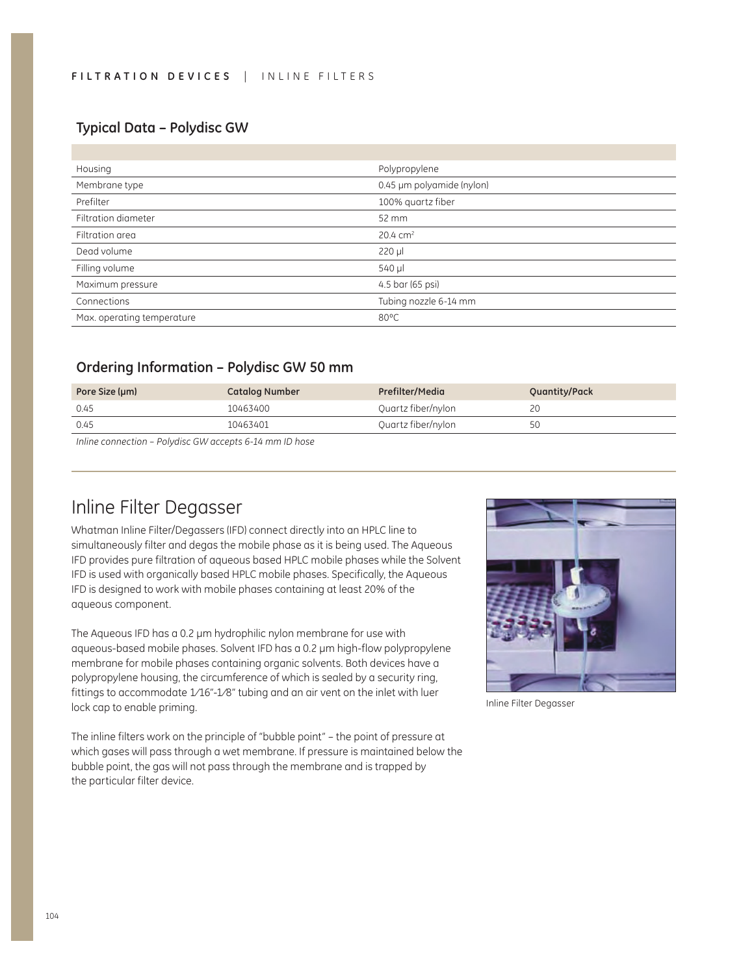#### **Typical Data – Polydisc GW**

| Housing                    | Polypropylene             |
|----------------------------|---------------------------|
| Membrane type              | 0.45 µm polyamide (nylon) |
| Prefilter                  | 100% quartz fiber         |
| Filtration diameter        | 52 mm                     |
| Filtration area            | $20.4 \text{ cm}^2$       |
| Dead volume                | $220 \mu$                 |
| Filling volume             | 540 µl                    |
| Maximum pressure           | 4.5 bar (65 psi)          |
| Connections                | Tubing nozzle 6-14 mm     |
| Max. operating temperature | 80°C                      |

#### **Ordering Information – Polydisc GW 50 mm**

| Pore Size (µm) | <b>Catalog Number</b>                                                                                                            | Prefilter/Media    | <b>Quantity/Pack</b> |
|----------------|----------------------------------------------------------------------------------------------------------------------------------|--------------------|----------------------|
| 0.45           | 10463400                                                                                                                         | Quartz fiber/nylon |                      |
| 0.45           | 10463401                                                                                                                         | Quartz fiber/nylon | 50                   |
|                | $\mathbf{r}$ . The contract of $\mathbf{r}$ and $\mathbf{r}$ and $\mathbf{r}$ and $\mathbf{r}$ and $\mathbf{r}$ and $\mathbf{r}$ |                    |                      |

*Inline connection – Polydisc GW accepts 6-14 mm ID hose*

## Inline Filter Degasser

Whatman Inline Filter/Degassers (IFD) connect directly into an HPLC line to simultaneously filter and degas the mobile phase as it is being used. The Aqueous IFD provides pure filtration of aqueous based HPLC mobile phases while the Solvent IFD is used with organically based HPLC mobile phases. Specifically, the Aqueous IFD is designed to work with mobile phases containing at least 20% of the aqueous component.

The Aqueous IFD has a 0.2  $\mu$ m hydrophilic nylon membrane for use with aqueous-based mobile phases. Solvent IFD has a 0.2 µm high-flow polypropylene membrane for mobile phases containing organic solvents. Both devices have a polypropylene housing, the circumference of which is sealed by a security ring, fittings to accommodate 1/16"-1/8" tubing and an air vent on the inlet with luer lock cap to enable priming.

The inline filters work on the principle of "bubble point" – the point of pressure at which gases will pass through a wet membrane. If pressure is maintained below the bubble point, the gas will not pass through the membrane and is trapped by the particular filter device.



Inline Filter Degasser